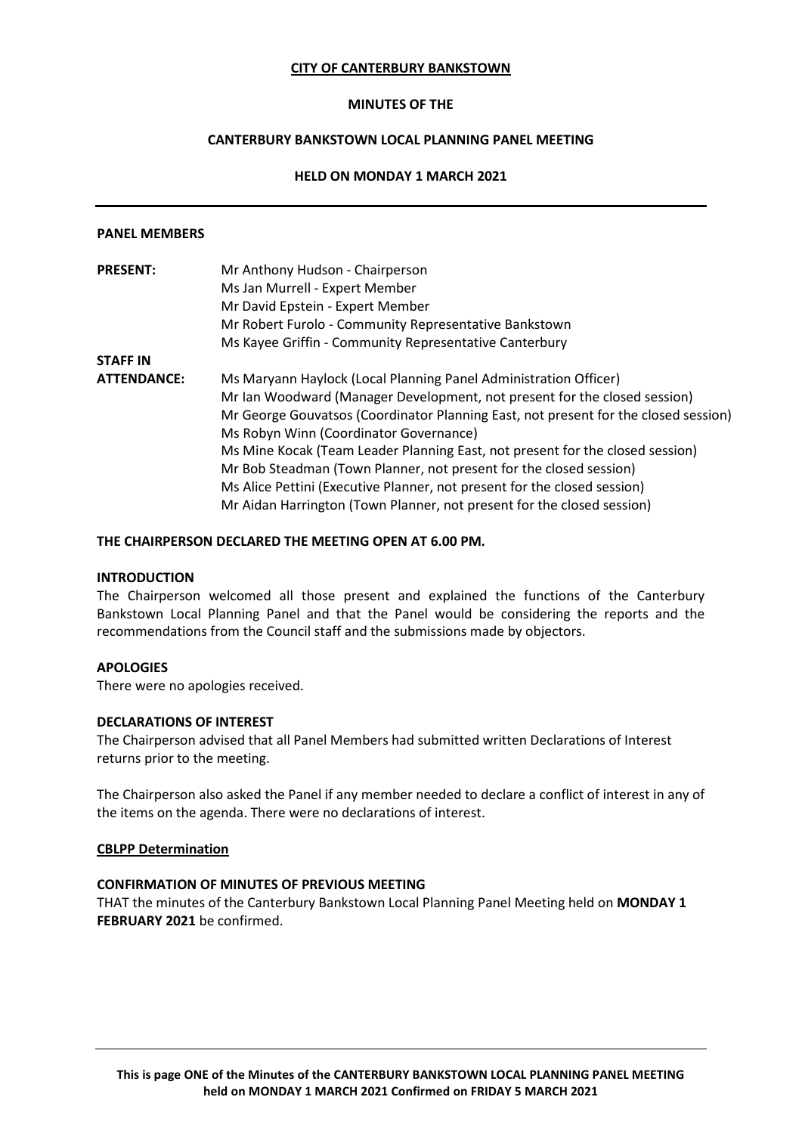### **CITY OF CANTERBURY BANKSTOWN**

### **MINUTES OF THE**

## **CANTERBURY BANKSTOWN LOCAL PLANNING PANEL MEETING**

## **HELD ON MONDAY 1 MARCH 2021**

#### **PANEL MEMBERS**

| <b>PRESENT:</b>    | Mr Anthony Hudson - Chairperson                                                     |  |  |  |  |
|--------------------|-------------------------------------------------------------------------------------|--|--|--|--|
|                    | Ms Jan Murrell - Expert Member                                                      |  |  |  |  |
|                    | Mr David Epstein - Expert Member                                                    |  |  |  |  |
|                    | Mr Robert Furolo - Community Representative Bankstown                               |  |  |  |  |
|                    | Ms Kayee Griffin - Community Representative Canterbury                              |  |  |  |  |
| <b>STAFF IN</b>    |                                                                                     |  |  |  |  |
| <b>ATTENDANCE:</b> | Ms Maryann Haylock (Local Planning Panel Administration Officer)                    |  |  |  |  |
|                    | Mr Ian Woodward (Manager Development, not present for the closed session)           |  |  |  |  |
|                    | Mr George Gouvatsos (Coordinator Planning East, not present for the closed session) |  |  |  |  |
|                    | Ms Robyn Winn (Coordinator Governance)                                              |  |  |  |  |
|                    | Ms Mine Kocak (Team Leader Planning East, not present for the closed session)       |  |  |  |  |
|                    | Mr Bob Steadman (Town Planner, not present for the closed session)                  |  |  |  |  |
|                    | Ms Alice Pettini (Executive Planner, not present for the closed session)            |  |  |  |  |
|                    | Mr Aidan Harrington (Town Planner, not present for the closed session)              |  |  |  |  |

### **THE CHAIRPERSON DECLARED THE MEETING OPEN AT 6.00 PM.**

### **INTRODUCTION**

The Chairperson welcomed all those present and explained the functions of the Canterbury Bankstown Local Planning Panel and that the Panel would be considering the reports and the recommendations from the Council staff and the submissions made by objectors.

### **APOLOGIES**

There were no apologies received.

### **DECLARATIONS OF INTEREST**

The Chairperson advised that all Panel Members had submitted written Declarations of Interest returns prior to the meeting.

The Chairperson also asked the Panel if any member needed to declare a conflict of interest in any of the items on the agenda. There were no declarations of interest.

### **CBLPP Determination**

### **CONFIRMATION OF MINUTES OF PREVIOUS MEETING**

THAT the minutes of the Canterbury Bankstown Local Planning Panel Meeting held on **MONDAY 1 FEBRUARY 2021** be confirmed.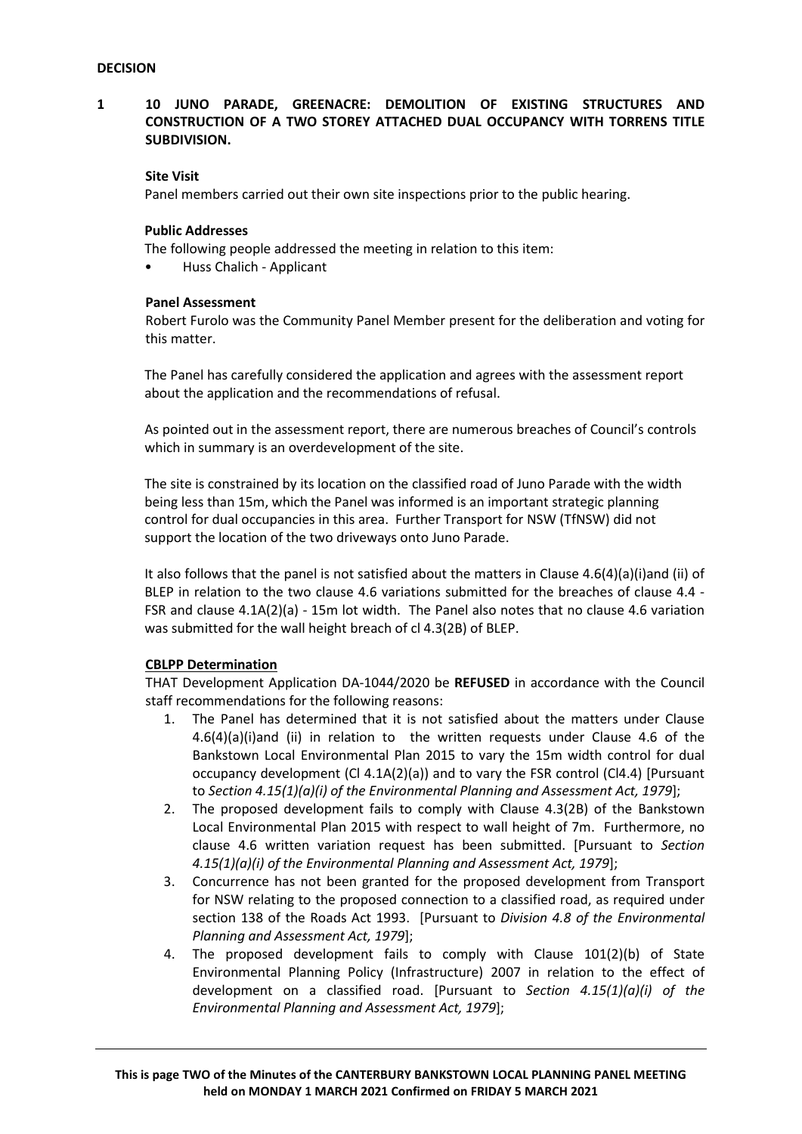## **1 10 JUNO PARADE, GREENACRE: DEMOLITION OF EXISTING STRUCTURES AND CONSTRUCTION OF A TWO STOREY ATTACHED DUAL OCCUPANCY WITH TORRENS TITLE SUBDIVISION.**

### **Site Visit**

Panel members carried out their own site inspections prior to the public hearing.

### **Public Addresses**

The following people addressed the meeting in relation to this item:

• Huss Chalich - Applicant

### **Panel Assessment**

Robert Furolo was the Community Panel Member present for the deliberation and voting for this matter.

The Panel has carefully considered the application and agrees with the assessment report about the application and the recommendations of refusal.

As pointed out in the assessment report, there are numerous breaches of Council's controls which in summary is an overdevelopment of the site.

The site is constrained by its location on the classified road of Juno Parade with the width being less than 15m, which the Panel was informed is an important strategic planning control for dual occupancies in this area. Further Transport for NSW (TfNSW) did not support the location of the two driveways onto Juno Parade.

It also follows that the panel is not satisfied about the matters in Clause 4.6(4)(a)(i)and (ii) of BLEP in relation to the two clause 4.6 variations submitted for the breaches of clause 4.4 - FSR and clause 4.1A(2)(a) - 15m lot width. The Panel also notes that no clause 4.6 variation was submitted for the wall height breach of cl 4.3(2B) of BLEP.

### **CBLPP Determination**

THAT Development Application DA-1044/2020 be **REFUSED** in accordance with the Council staff recommendations for the following reasons:

- 1. The Panel has determined that it is not satisfied about the matters under Clause  $4.6(4)(a)(i)$  and (ii) in relation to the written requests under Clause 4.6 of the Bankstown Local Environmental Plan 2015 to vary the 15m width control for dual occupancy development (Cl 4.1A(2)(a)) and to vary the FSR control (Cl4.4) [Pursuant to *Section 4.15(1)(a)(i) of the Environmental Planning and Assessment Act, 1979*];
- 2. The proposed development fails to comply with Clause 4.3(2B) of the Bankstown Local Environmental Plan 2015 with respect to wall height of 7m. Furthermore, no clause 4.6 written variation request has been submitted. [Pursuant to *Section 4.15(1)(a)(i) of the Environmental Planning and Assessment Act, 1979*];
- 3. Concurrence has not been granted for the proposed development from Transport for NSW relating to the proposed connection to a classified road, as required under section 138 of the Roads Act 1993. [Pursuant to *Division 4.8 of the Environmental Planning and Assessment Act, 1979*];
- 4. The proposed development fails to comply with Clause 101(2)(b) of State Environmental Planning Policy (Infrastructure) 2007 in relation to the effect of development on a classified road. [Pursuant to *Section 4.15(1)(a)(i) of the Environmental Planning and Assessment Act, 1979*];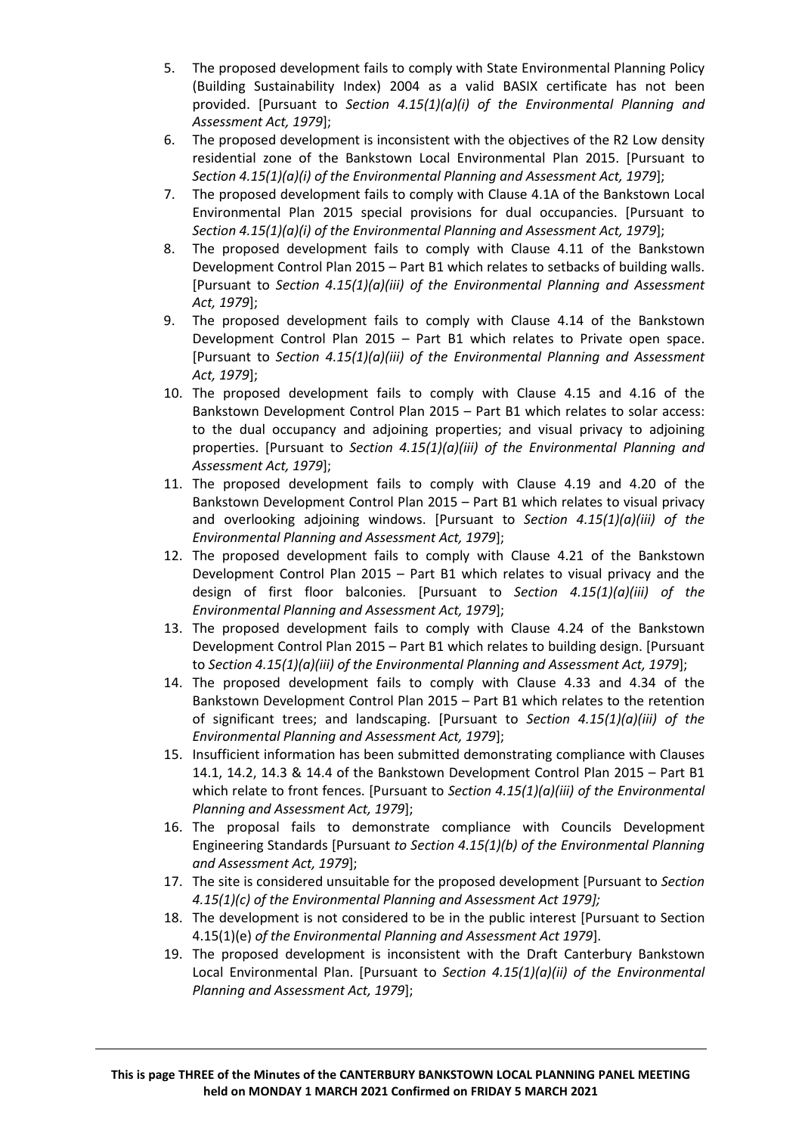- 5. The proposed development fails to comply with State Environmental Planning Policy (Building Sustainability Index) 2004 as a valid BASIX certificate has not been provided. [Pursuant to *Section 4.15(1)(a)(i) of the Environmental Planning and Assessment Act, 1979*];
- 6. The proposed development is inconsistent with the objectives of the R2 Low density residential zone of the Bankstown Local Environmental Plan 2015. [Pursuant to *Section 4.15(1)(a)(i) of the Environmental Planning and Assessment Act, 1979*];
- 7. The proposed development fails to comply with Clause 4.1A of the Bankstown Local Environmental Plan 2015 special provisions for dual occupancies. [Pursuant to *Section 4.15(1)(a)(i) of the Environmental Planning and Assessment Act, 1979*];
- 8. The proposed development fails to comply with Clause 4.11 of the Bankstown Development Control Plan 2015 – Part B1 which relates to setbacks of building walls. [Pursuant to *Section 4.15(1)(a)(iii) of the Environmental Planning and Assessment Act, 1979*];
- 9. The proposed development fails to comply with Clause 4.14 of the Bankstown Development Control Plan 2015 – Part B1 which relates to Private open space. [Pursuant to *Section 4.15(1)(a)(iii) of the Environmental Planning and Assessment Act, 1979*];
- 10. The proposed development fails to comply with Clause 4.15 and 4.16 of the Bankstown Development Control Plan 2015 – Part B1 which relates to solar access: to the dual occupancy and adjoining properties; and visual privacy to adjoining properties. [Pursuant to *Section 4.15(1)(a)(iii) of the Environmental Planning and Assessment Act, 1979*];
- 11. The proposed development fails to comply with Clause 4.19 and 4.20 of the Bankstown Development Control Plan 2015 – Part B1 which relates to visual privacy and overlooking adjoining windows. [Pursuant to *Section 4.15(1)(a)(iii) of the Environmental Planning and Assessment Act, 1979*];
- 12. The proposed development fails to comply with Clause 4.21 of the Bankstown Development Control Plan 2015 – Part B1 which relates to visual privacy and the design of first floor balconies. [Pursuant to *Section 4.15(1)(a)(iii) of the Environmental Planning and Assessment Act, 1979*];
- 13. The proposed development fails to comply with Clause 4.24 of the Bankstown Development Control Plan 2015 – Part B1 which relates to building design. [Pursuant to *Section 4.15(1)(a)(iii) of the Environmental Planning and Assessment Act, 1979*];
- 14. The proposed development fails to comply with Clause 4.33 and 4.34 of the Bankstown Development Control Plan 2015 – Part B1 which relates to the retention of significant trees; and landscaping. [Pursuant to *Section 4.15(1)(a)(iii) of the Environmental Planning and Assessment Act, 1979*];
- 15. Insufficient information has been submitted demonstrating compliance with Clauses 14.1, 14.2, 14.3 & 14.4 of the Bankstown Development Control Plan 2015 – Part B1 which relate to front fences. [Pursuant to *Section 4.15(1)(a)(iii) of the Environmental Planning and Assessment Act, 1979*];
- 16. The proposal fails to demonstrate compliance with Councils Development Engineering Standards [Pursuant *to Section 4.15(1)(b) of the Environmental Planning and Assessment Act, 1979*];
- 17. The site is considered unsuitable for the proposed development [Pursuant to *Section 4.15(1)(c) of the Environmental Planning and Assessment Act 1979];*
- 18. The development is not considered to be in the public interest [Pursuant to Section 4.15(1)(e) *of the Environmental Planning and Assessment Act 1979*].
- 19. The proposed development is inconsistent with the Draft Canterbury Bankstown Local Environmental Plan. [Pursuant to *Section 4.15(1)(a)(ii) of the Environmental Planning and Assessment Act, 1979*];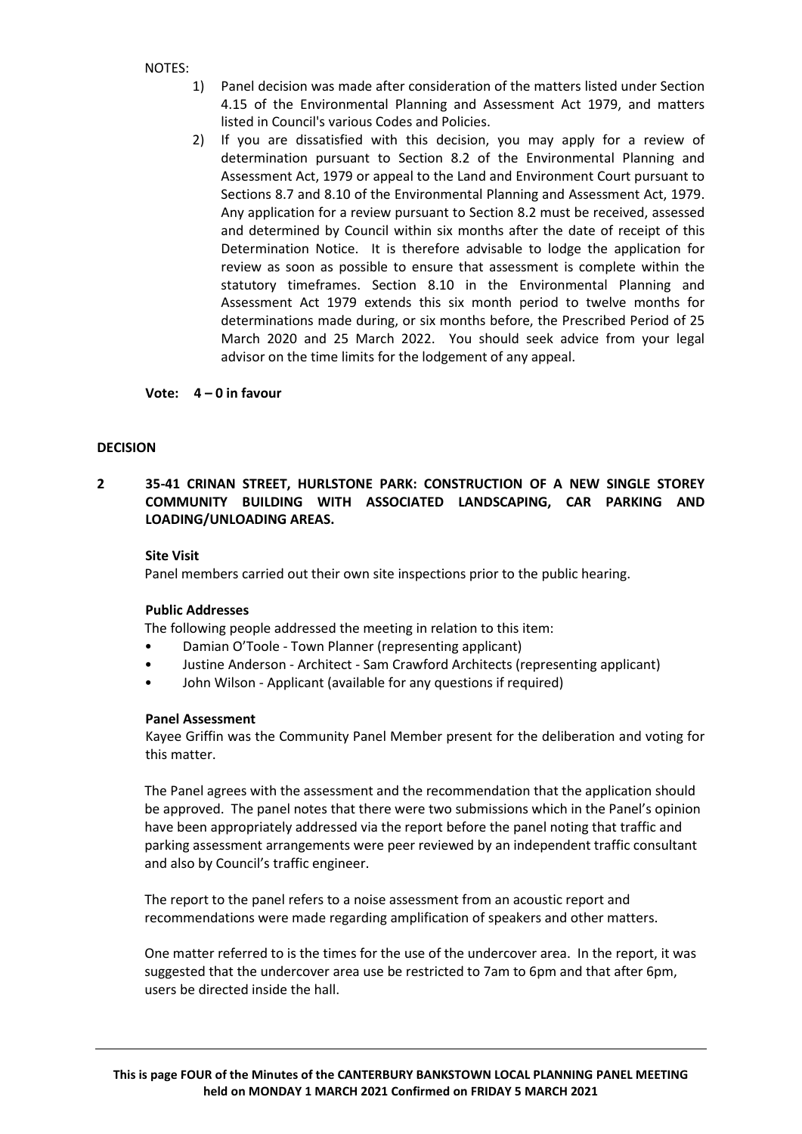### NOTES:

- 1) Panel decision was made after consideration of the matters listed under Section 4.15 of the Environmental Planning and Assessment Act 1979, and matters listed in Council's various Codes and Policies.
- 2) If you are dissatisfied with this decision, you may apply for a review of determination pursuant to Section 8.2 of the Environmental Planning and Assessment Act, 1979 or appeal to the Land and Environment Court pursuant to Sections 8.7 and 8.10 of the Environmental Planning and Assessment Act, 1979. Any application for a review pursuant to Section 8.2 must be received, assessed and determined by Council within six months after the date of receipt of this Determination Notice. It is therefore advisable to lodge the application for review as soon as possible to ensure that assessment is complete within the statutory timeframes. Section 8.10 in the Environmental Planning and Assessment Act 1979 extends this six month period to twelve months for determinations made during, or six months before, the Prescribed Period of 25 March 2020 and 25 March 2022. You should seek advice from your legal advisor on the time limits for the lodgement of any appeal.

**Vote: 4 – 0 in favour**

### **DECISION**

## **2 35-41 CRINAN STREET, HURLSTONE PARK: CONSTRUCTION OF A NEW SINGLE STOREY COMMUNITY BUILDING WITH ASSOCIATED LANDSCAPING, CAR PARKING AND LOADING/UNLOADING AREAS.**

### **Site Visit**

Panel members carried out their own site inspections prior to the public hearing.

### **Public Addresses**

The following people addressed the meeting in relation to this item:

- Damian O'Toole Town Planner (representing applicant)
- Justine Anderson Architect Sam Crawford Architects (representing applicant)
- John Wilson Applicant (available for any questions if required)

### **Panel Assessment**

Kayee Griffin was the Community Panel Member present for the deliberation and voting for this matter.

The Panel agrees with the assessment and the recommendation that the application should be approved. The panel notes that there were two submissions which in the Panel's opinion have been appropriately addressed via the report before the panel noting that traffic and parking assessment arrangements were peer reviewed by an independent traffic consultant and also by Council's traffic engineer.

The report to the panel refers to a noise assessment from an acoustic report and recommendations were made regarding amplification of speakers and other matters.

One matter referred to is the times for the use of the undercover area. In the report, it was suggested that the undercover area use be restricted to 7am to 6pm and that after 6pm, users be directed inside the hall.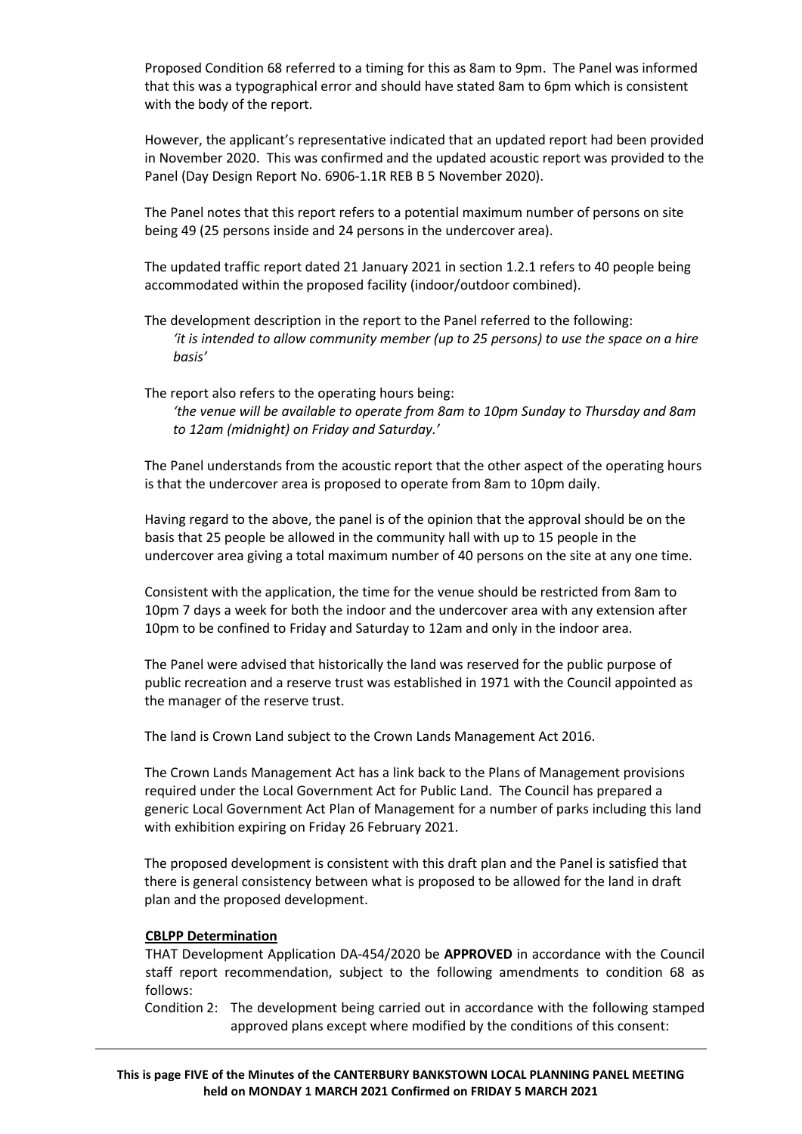Proposed Condition 68 referred to a timing for this as 8am to 9pm. The Panel was informed that this was a typographical error and should have stated 8am to 6pm which is consistent with the body of the report.

However, the applicant's representative indicated that an updated report had been provided in November 2020. This was confirmed and the updated acoustic report was provided to the Panel (Day Design Report No. 6906-1.1R REB B 5 November 2020).

The Panel notes that this report refers to a potential maximum number of persons on site being 49 (25 persons inside and 24 persons in the undercover area).

The updated traffic report dated 21 January 2021 in section 1.2.1 refers to 40 people being accommodated within the proposed facility (indoor/outdoor combined).

The development description in the report to the Panel referred to the following: *'it is intended to allow community member (up to 25 persons) to use the space on a hire basis'*

The report also refers to the operating hours being:

*'the venue will be available to operate from 8am to 10pm Sunday to Thursday and 8am to 12am (midnight) on Friday and Saturday.'*

The Panel understands from the acoustic report that the other aspect of the operating hours is that the undercover area is proposed to operate from 8am to 10pm daily.

Having regard to the above, the panel is of the opinion that the approval should be on the basis that 25 people be allowed in the community hall with up to 15 people in the undercover area giving a total maximum number of 40 persons on the site at any one time.

Consistent with the application, the time for the venue should be restricted from 8am to 10pm 7 days a week for both the indoor and the undercover area with any extension after 10pm to be confined to Friday and Saturday to 12am and only in the indoor area.

The Panel were advised that historically the land was reserved for the public purpose of public recreation and a reserve trust was established in 1971 with the Council appointed as the manager of the reserve trust.

The land is Crown Land subject to the Crown Lands Management Act 2016.

The Crown Lands Management Act has a link back to the Plans of Management provisions required under the Local Government Act for Public Land. The Council has prepared a generic Local Government Act Plan of Management for a number of parks including this land with exhibition expiring on Friday 26 February 2021.

The proposed development is consistent with this draft plan and the Panel is satisfied that there is general consistency between what is proposed to be allowed for the land in draft plan and the proposed development.

### **CBLPP Determination**

THAT Development Application DA-454/2020 be **APPROVED** in accordance with the Council staff report recommendation, subject to the following amendments to condition 68 as follows:

Condition 2: The development being carried out in accordance with the following stamped approved plans except where modified by the conditions of this consent: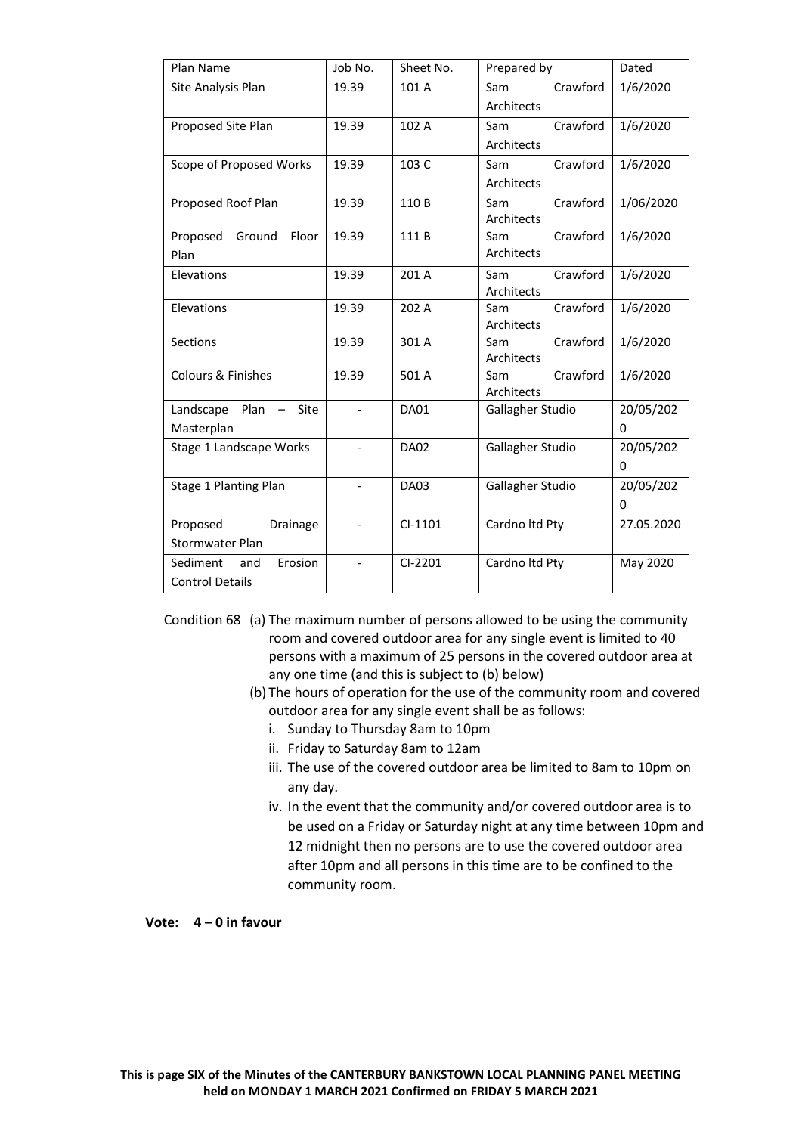| Plan Name                                             | Job No.        | Sheet No.   | Prepared by                   | Dated      |
|-------------------------------------------------------|----------------|-------------|-------------------------------|------------|
| Site Analysis Plan                                    | 19.39          | 101 A       | Crawford<br>Sam               | 1/6/2020   |
|                                                       |                |             | Architects                    |            |
| Proposed Site Plan                                    | 19.39          | 102 A       | Crawford<br>Sam               | 1/6/2020   |
|                                                       |                |             | Architects                    |            |
| Scope of Proposed Works                               | 19.39          | 103 C       | Crawford<br>Sam               | 1/6/2020   |
|                                                       |                |             | Architects                    |            |
| Proposed Roof Plan                                    | 19.39          | 110 B       | Crawford<br>Sam               | 1/06/2020  |
|                                                       |                |             | Architects                    |            |
| Proposed<br>Ground<br>Floor                           | 19.39          | 111B        | Crawford<br>Sam               | 1/6/2020   |
| Plan                                                  |                |             | Architects                    |            |
| Elevations                                            | 19.39          | 201 A       | Crawford<br>Sam               | 1/6/2020   |
|                                                       |                |             | Architects                    |            |
| Elevations                                            | 19.39          | 202 A       | Crawford<br>Sam               | 1/6/2020   |
| Sections                                              | 19.39          | 301 A       | Architects<br>Crawford<br>Sam | 1/6/2020   |
|                                                       |                |             | Architects                    |            |
| Colours & Finishes                                    | 19.39          | 501 A       | Crawford<br>Sam               | 1/6/2020   |
|                                                       |                |             | Architects                    |            |
| Landscape<br>Plan<br>Site<br>$\overline{\phantom{m}}$ |                | <b>DA01</b> | Gallagher Studio              | 20/05/202  |
| Masterplan                                            |                |             |                               | 0          |
| Stage 1 Landscape Works                               | $\overline{a}$ | <b>DA02</b> | Gallagher Studio              | 20/05/202  |
|                                                       |                |             |                               | 0          |
| Stage 1 Planting Plan                                 |                | <b>DA03</b> | Gallagher Studio              | 20/05/202  |
|                                                       |                |             |                               | 0          |
| Proposed<br>Drainage                                  | $\overline{a}$ | $Cl-1101$   | Cardno Itd Pty                | 27.05.2020 |
| Stormwater Plan                                       |                |             |                               |            |
| Erosion<br>Sediment<br>and                            |                | $Cl-2201$   | Cardno Itd Pty                | May 2020   |
| <b>Control Details</b>                                |                |             |                               |            |

Condition 68 (a) The maximum number of persons allowed to be using the community room and covered outdoor area for any single event is limited to 40 persons with a maximum of 25 persons in the covered outdoor area at any one time (and this is subject to (b) below)

- (b) The hours of operation for the use of the community room and covered outdoor area for any single event shall be as follows:
	- i. Sunday to Thursday 8am to 10pm
	- ii. Friday to Saturday 8am to 12am
	- iii. The use of the covered outdoor area be limited to 8am to 10pm on any day.
	- iv. In the event that the community and/or covered outdoor area is to be used on a Friday or Saturday night at any time between 10pm and 12 midnight then no persons are to use the covered outdoor area after 10pm and all persons in this time are to be confined to the community room.

**Vote: 4 – 0 in favour**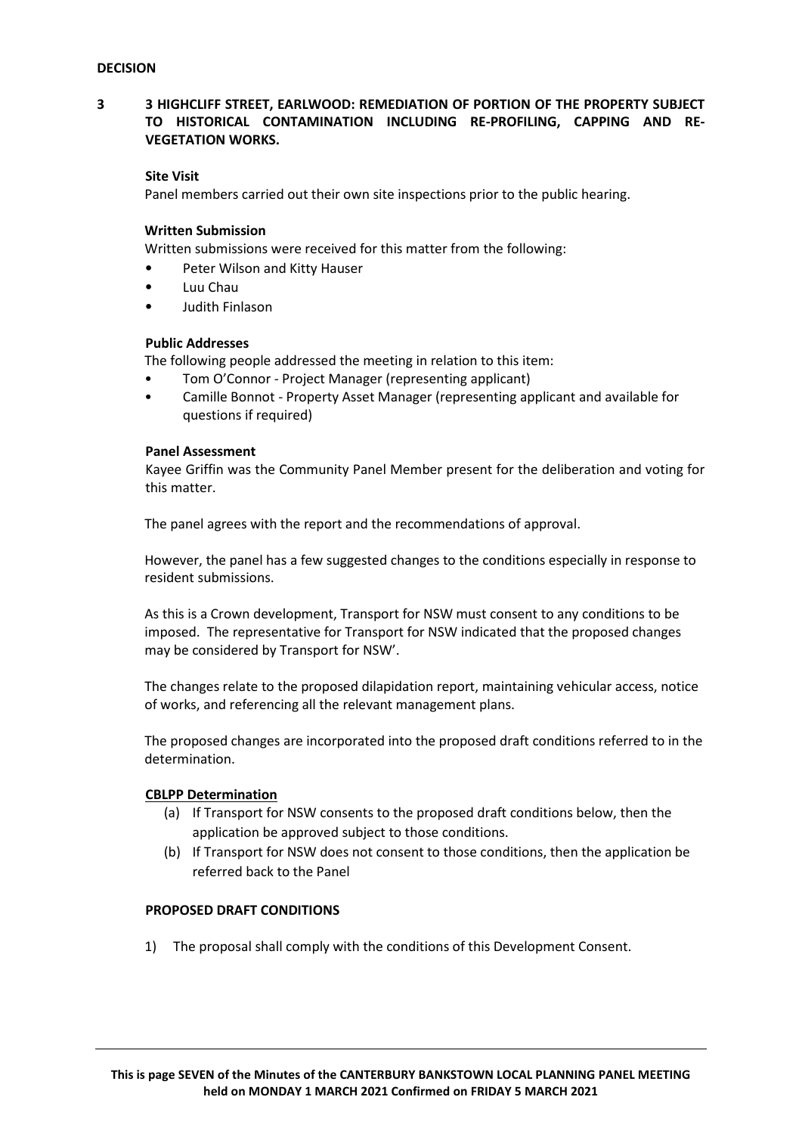## **3 3 HIGHCLIFF STREET, EARLWOOD: REMEDIATION OF PORTION OF THE PROPERTY SUBJECT TO HISTORICAL CONTAMINATION INCLUDING RE-PROFILING, CAPPING AND RE-VEGETATION WORKS.**

### **Site Visit**

Panel members carried out their own site inspections prior to the public hearing.

### **Written Submission**

Written submissions were received for this matter from the following:

- Peter Wilson and Kitty Hauser
- Luu Chau
- Judith Finlason

### **Public Addresses**

The following people addressed the meeting in relation to this item:

- Tom O'Connor Project Manager (representing applicant)
- Camille Bonnot Property Asset Manager (representing applicant and available for questions if required)

### **Panel Assessment**

Kayee Griffin was the Community Panel Member present for the deliberation and voting for this matter.

The panel agrees with the report and the recommendations of approval.

However, the panel has a few suggested changes to the conditions especially in response to resident submissions.

As this is a Crown development, Transport for NSW must consent to any conditions to be imposed. The representative for Transport for NSW indicated that the proposed changes may be considered by Transport for NSW'.

The changes relate to the proposed dilapidation report, maintaining vehicular access, notice of works, and referencing all the relevant management plans.

The proposed changes are incorporated into the proposed draft conditions referred to in the determination.

### **CBLPP Determination**

- (a) If Transport for NSW consents to the proposed draft conditions below, then the application be approved subject to those conditions.
- (b) If Transport for NSW does not consent to those conditions, then the application be referred back to the Panel

### **PROPOSED DRAFT CONDITIONS**

1) The proposal shall comply with the conditions of this Development Consent.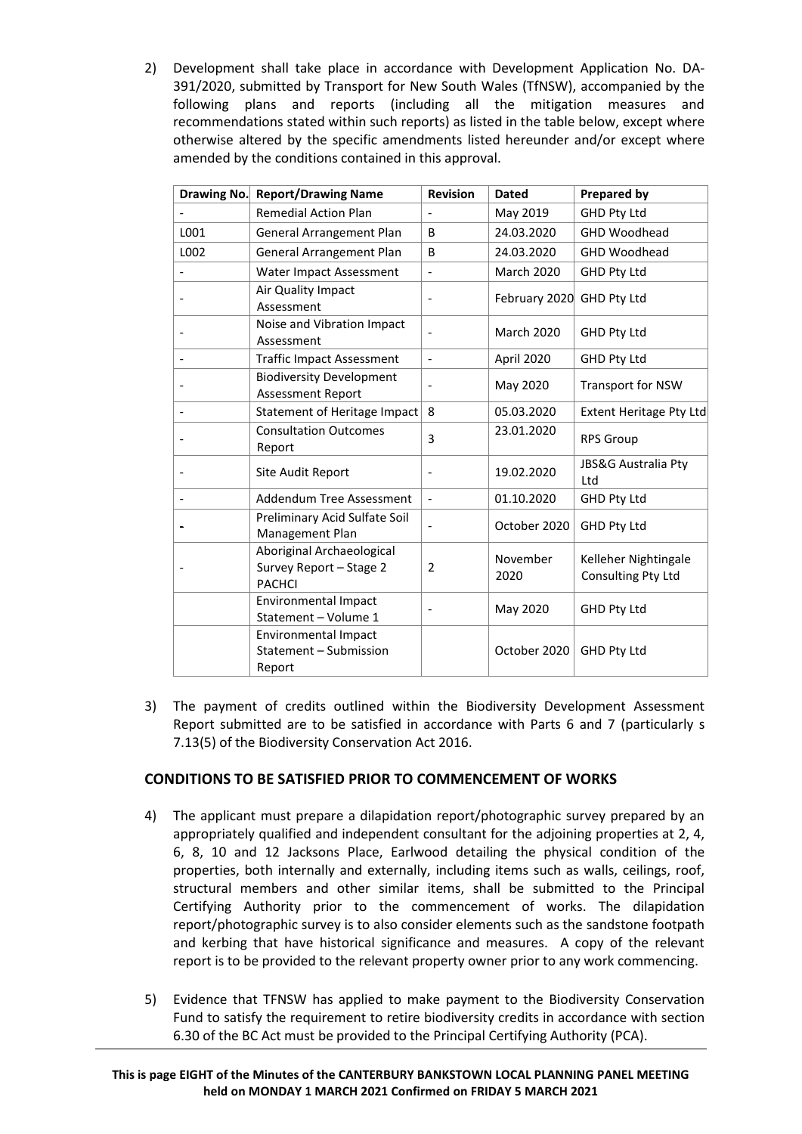2) Development shall take place in accordance with Development Application No. DA-391/2020, submitted by Transport for New South Wales (TfNSW), accompanied by the following plans and reports (including all the mitigation measures and recommendations stated within such reports) as listed in the table below, except where otherwise altered by the specific amendments listed hereunder and/or except where amended by the conditions contained in this approval.

| Drawing No. | <b>Report/Drawing Name</b>                                            | <b>Revision</b>          | <b>Dated</b>              | <b>Prepared by</b>                         |
|-------------|-----------------------------------------------------------------------|--------------------------|---------------------------|--------------------------------------------|
|             | <b>Remedial Action Plan</b>                                           | $\overline{\phantom{0}}$ | May 2019                  | GHD Pty Ltd                                |
| L001        | General Arrangement Plan                                              | B                        | 24.03.2020                | <b>GHD Woodhead</b>                        |
| L002        | <b>General Arrangement Plan</b>                                       | B                        | 24.03.2020                | GHD Woodhead                               |
|             | Water Impact Assessment                                               | $\overline{a}$           | <b>March 2020</b>         | <b>GHD Pty Ltd</b>                         |
|             | Air Quality Impact<br>Assessment                                      | $\overline{\phantom{a}}$ | February 2020 GHD Pty Ltd |                                            |
|             | Noise and Vibration Impact<br>Assessment                              |                          | March 2020                | GHD Pty Ltd                                |
|             | <b>Traffic Impact Assessment</b>                                      | $\overline{a}$           | April 2020                | <b>GHD Pty Ltd</b>                         |
|             | <b>Biodiversity Development</b><br><b>Assessment Report</b>           |                          | May 2020                  | <b>Transport for NSW</b>                   |
|             | Statement of Heritage Impact                                          | 8                        | 05.03.2020                | <b>Extent Heritage Pty Ltd</b>             |
|             | <b>Consultation Outcomes</b><br>Report                                | 3                        | 23.01.2020                | <b>RPS Group</b>                           |
|             | Site Audit Report                                                     |                          | 19.02.2020                | JBS&G Australia Pty<br>Ltd                 |
|             | Addendum Tree Assessment                                              | $\overline{a}$           | 01.10.2020                | <b>GHD Pty Ltd</b>                         |
|             | Preliminary Acid Sulfate Soil<br>Management Plan                      |                          | October 2020              | <b>GHD Pty Ltd</b>                         |
|             | Aboriginal Archaeological<br>Survey Report - Stage 2<br><b>PACHCI</b> | $\overline{2}$           | November<br>2020          | Kelleher Nightingale<br>Consulting Pty Ltd |
|             | <b>Environmental Impact</b><br>Statement - Volume 1                   | $\overline{\phantom{a}}$ | May 2020                  | <b>GHD Pty Ltd</b>                         |
|             | <b>Environmental Impact</b><br>Statement - Submission<br>Report       |                          | October 2020              | <b>GHD Pty Ltd</b>                         |

3) The payment of credits outlined within the Biodiversity Development Assessment Report submitted are to be satisfied in accordance with Parts 6 and 7 (particularly s 7.13(5) of the Biodiversity Conservation Act 2016.

# **CONDITIONS TO BE SATISFIED PRIOR TO COMMENCEMENT OF WORKS**

- 4) The applicant must prepare a dilapidation report/photographic survey prepared by an appropriately qualified and independent consultant for the adjoining properties at 2, 4, 6, 8, 10 and 12 Jacksons Place, Earlwood detailing the physical condition of the properties, both internally and externally, including items such as walls, ceilings, roof, structural members and other similar items, shall be submitted to the Principal Certifying Authority prior to the commencement of works. The dilapidation report/photographic survey is to also consider elements such as the sandstone footpath and kerbing that have historical significance and measures. A copy of the relevant report is to be provided to the relevant property owner prior to any work commencing.
- 5) Evidence that TFNSW has applied to make payment to the Biodiversity Conservation Fund to satisfy the requirement to retire biodiversity credits in accordance with section 6.30 of the BC Act must be provided to the Principal Certifying Authority (PCA).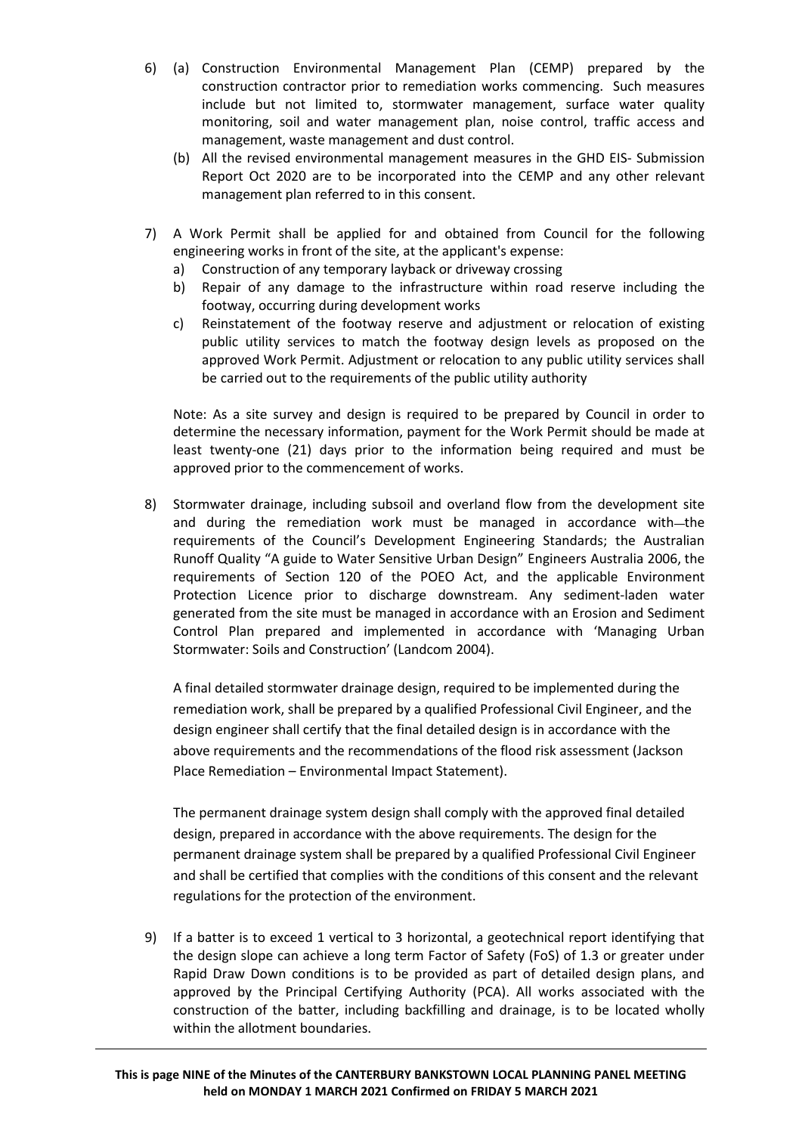- 6) (a) Construction Environmental Management Plan (CEMP) prepared by the construction contractor prior to remediation works commencing. Such measures include but not limited to, stormwater management, surface water quality monitoring, soil and water management plan, noise control, traffic access and management, waste management and dust control.
	- (b) All the revised environmental management measures in the GHD EIS- Submission Report Oct 2020 are to be incorporated into the CEMP and any other relevant management plan referred to in this consent.
- 7) A Work Permit shall be applied for and obtained from Council for the following engineering works in front of the site, at the applicant's expense:
	- a) Construction of any temporary layback or driveway crossing
	- b) Repair of any damage to the infrastructure within road reserve including the footway, occurring during development works
	- c) Reinstatement of the footway reserve and adjustment or relocation of existing public utility services to match the footway design levels as proposed on the approved Work Permit. Adjustment or relocation to any public utility services shall be carried out to the requirements of the public utility authority

Note: As a site survey and design is required to be prepared by Council in order to determine the necessary information, payment for the Work Permit should be made at least twenty-one (21) days prior to the information being required and must be approved prior to the commencement of works.

8) Stormwater drainage, including subsoil and overland flow from the development site and during the remediation work must be managed in accordance with-the requirements of the Council's Development Engineering Standards; the Australian Runoff Quality "A guide to Water Sensitive Urban Design" Engineers Australia 2006, the requirements of Section 120 of the POEO Act, and the applicable Environment Protection Licence prior to discharge downstream. Any sediment-laden water generated from the site must be managed in accordance with an Erosion and Sediment Control Plan prepared and implemented in accordance with 'Managing Urban Stormwater: Soils and Construction' (Landcom 2004).

A final detailed stormwater drainage design, required to be implemented during the remediation work, shall be prepared by a qualified Professional Civil Engineer, and the design engineer shall certify that the final detailed design is in accordance with the above requirements and the recommendations of the flood risk assessment (Jackson Place Remediation – Environmental Impact Statement).

The permanent drainage system design shall comply with the approved final detailed design, prepared in accordance with the above requirements. The design for the permanent drainage system shall be prepared by a qualified Professional Civil Engineer and shall be certified that complies with the conditions of this consent and the relevant regulations for the protection of the environment.

9) If a batter is to exceed 1 vertical to 3 horizontal, a geotechnical report identifying that the design slope can achieve a long term Factor of Safety (FoS) of 1.3 or greater under Rapid Draw Down conditions is to be provided as part of detailed design plans, and approved by the Principal Certifying Authority (PCA). All works associated with the construction of the batter, including backfilling and drainage, is to be located wholly within the allotment boundaries.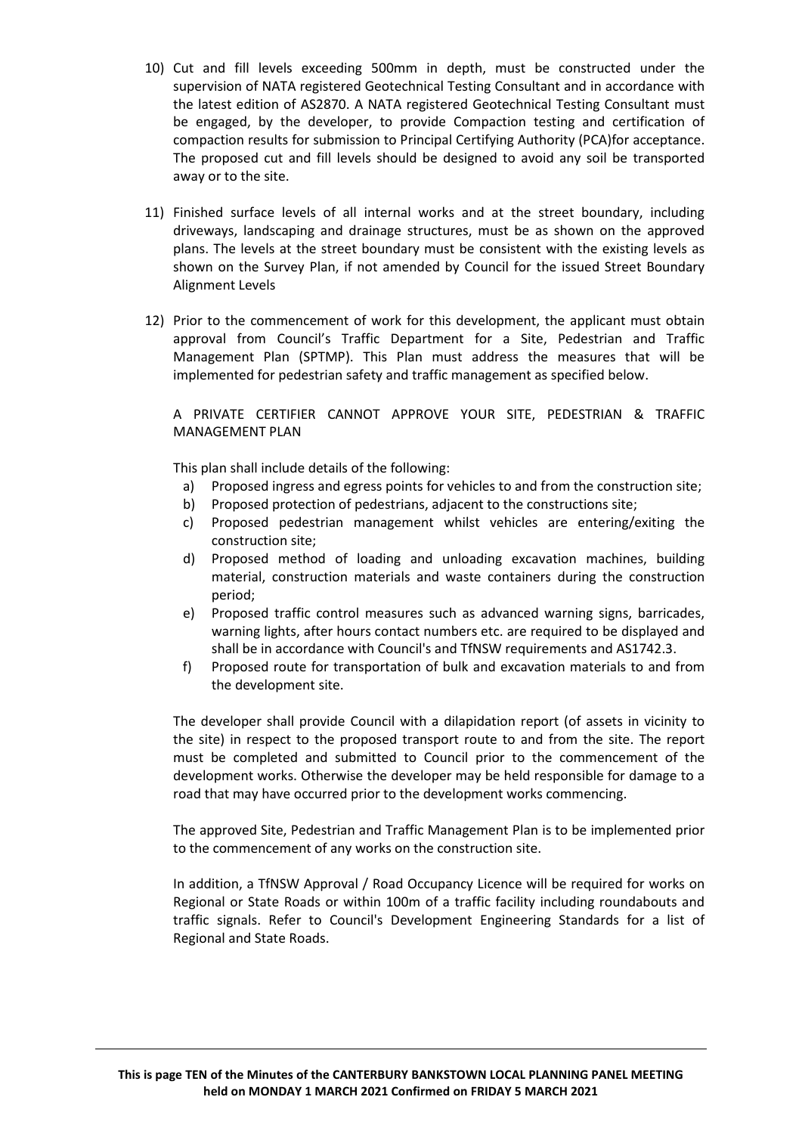- 10) Cut and fill levels exceeding 500mm in depth, must be constructed under the supervision of NATA registered Geotechnical Testing Consultant and in accordance with the latest edition of AS2870. A NATA registered Geotechnical Testing Consultant must be engaged, by the developer, to provide Compaction testing and certification of compaction results for submission to Principal Certifying Authority (PCA)for acceptance. The proposed cut and fill levels should be designed to avoid any soil be transported away or to the site.
- 11) Finished surface levels of all internal works and at the street boundary, including driveways, landscaping and drainage structures, must be as shown on the approved plans. The levels at the street boundary must be consistent with the existing levels as shown on the Survey Plan, if not amended by Council for the issued Street Boundary Alignment Levels
- 12) Prior to the commencement of work for this development, the applicant must obtain approval from Council's Traffic Department for a Site, Pedestrian and Traffic Management Plan (SPTMP). This Plan must address the measures that will be implemented for pedestrian safety and traffic management as specified below.

## A PRIVATE CERTIFIER CANNOT APPROVE YOUR SITE, PEDESTRIAN & TRAFFIC MANAGEMENT PLAN

This plan shall include details of the following:

- a) Proposed ingress and egress points for vehicles to and from the construction site;
- b) Proposed protection of pedestrians, adjacent to the constructions site;
- c) Proposed pedestrian management whilst vehicles are entering/exiting the construction site;
- d) Proposed method of loading and unloading excavation machines, building material, construction materials and waste containers during the construction period;
- e) Proposed traffic control measures such as advanced warning signs, barricades, warning lights, after hours contact numbers etc. are required to be displayed and shall be in accordance with Council's and TfNSW requirements and AS1742.3.
- f) Proposed route for transportation of bulk and excavation materials to and from the development site.

The developer shall provide Council with a dilapidation report (of assets in vicinity to the site) in respect to the proposed transport route to and from the site. The report must be completed and submitted to Council prior to the commencement of the development works. Otherwise the developer may be held responsible for damage to a road that may have occurred prior to the development works commencing.

The approved Site, Pedestrian and Traffic Management Plan is to be implemented prior to the commencement of any works on the construction site.

In addition, a TfNSW Approval / Road Occupancy Licence will be required for works on Regional or State Roads or within 100m of a traffic facility including roundabouts and traffic signals. Refer to Council's Development Engineering Standards for a list of Regional and State Roads.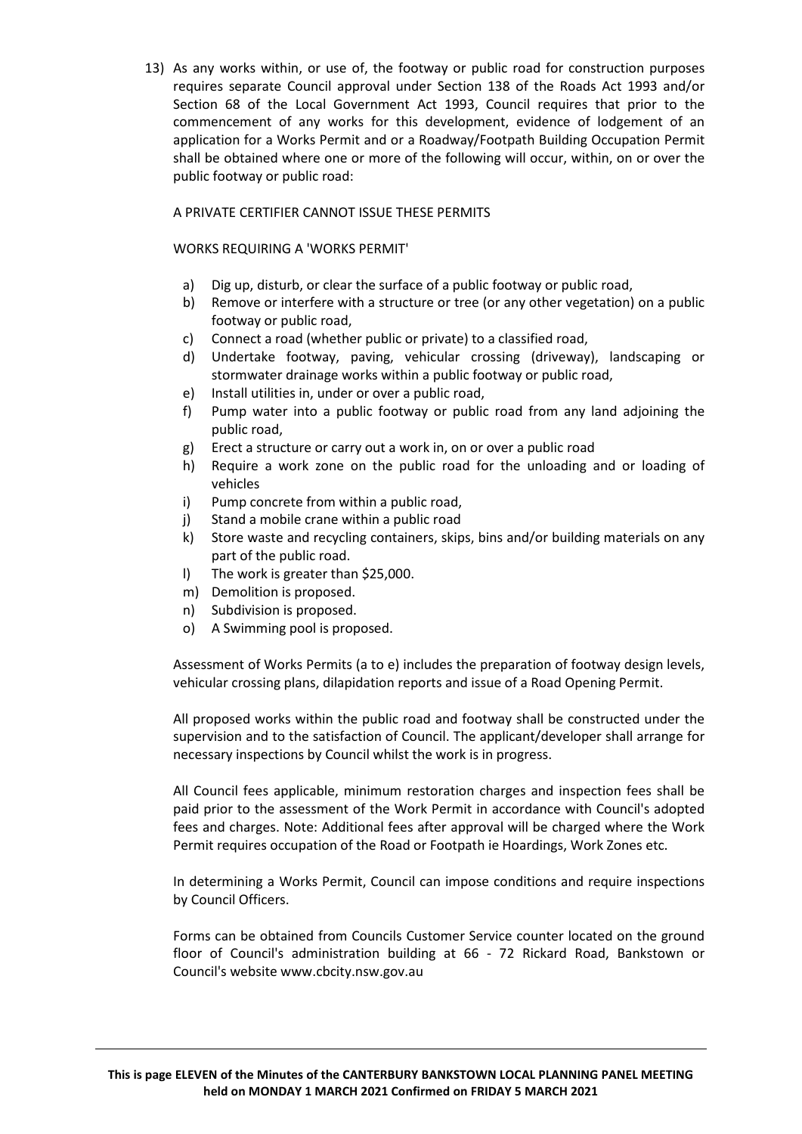13) As any works within, or use of, the footway or public road for construction purposes requires separate Council approval under Section 138 of the Roads Act 1993 and/or Section 68 of the Local Government Act 1993, Council requires that prior to the commencement of any works for this development, evidence of lodgement of an application for a Works Permit and or a Roadway/Footpath Building Occupation Permit shall be obtained where one or more of the following will occur, within, on or over the public footway or public road:

### A PRIVATE CERTIFIER CANNOT ISSUE THESE PERMITS

## WORKS REQUIRING A 'WORKS PERMIT'

- a) Dig up, disturb, or clear the surface of a public footway or public road,
- b) Remove or interfere with a structure or tree (or any other vegetation) on a public footway or public road,
- c) Connect a road (whether public or private) to a classified road,
- d) Undertake footway, paving, vehicular crossing (driveway), landscaping or stormwater drainage works within a public footway or public road,
- e) Install utilities in, under or over a public road,
- f) Pump water into a public footway or public road from any land adjoining the public road,
- g) Erect a structure or carry out a work in, on or over a public road
- h) Require a work zone on the public road for the unloading and or loading of vehicles
- i) Pump concrete from within a public road,
- j) Stand a mobile crane within a public road
- k) Store waste and recycling containers, skips, bins and/or building materials on any part of the public road.
- l) The work is greater than \$25,000.
- m) Demolition is proposed.
- n) Subdivision is proposed.
- o) A Swimming pool is proposed.

Assessment of Works Permits (a to e) includes the preparation of footway design levels, vehicular crossing plans, dilapidation reports and issue of a Road Opening Permit.

All proposed works within the public road and footway shall be constructed under the supervision and to the satisfaction of Council. The applicant/developer shall arrange for necessary inspections by Council whilst the work is in progress.

All Council fees applicable, minimum restoration charges and inspection fees shall be paid prior to the assessment of the Work Permit in accordance with Council's adopted fees and charges. Note: Additional fees after approval will be charged where the Work Permit requires occupation of the Road or Footpath ie Hoardings, Work Zones etc.

In determining a Works Permit, Council can impose conditions and require inspections by Council Officers.

Forms can be obtained from Councils Customer Service counter located on the ground floor of Council's administration building at 66 - 72 Rickard Road, Bankstown or Council's website www.cbcity.nsw.gov.au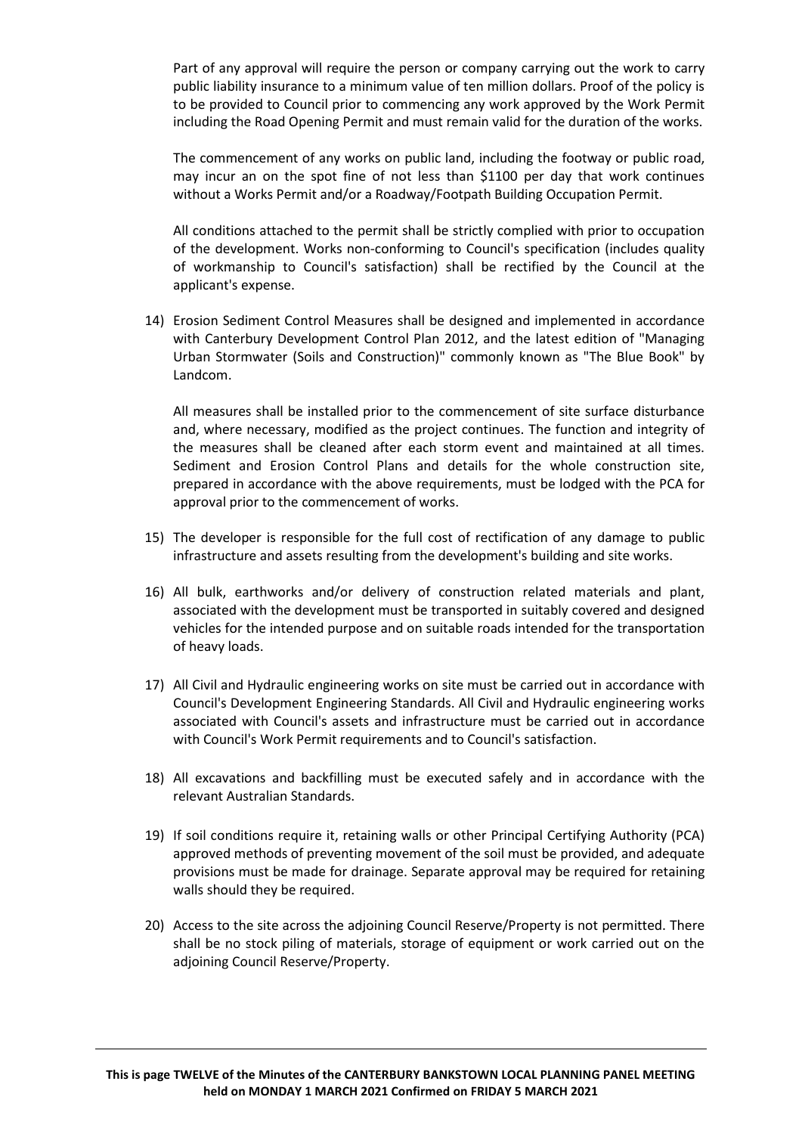Part of any approval will require the person or company carrying out the work to carry public liability insurance to a minimum value of ten million dollars. Proof of the policy is to be provided to Council prior to commencing any work approved by the Work Permit including the Road Opening Permit and must remain valid for the duration of the works.

The commencement of any works on public land, including the footway or public road, may incur an on the spot fine of not less than \$1100 per day that work continues without a Works Permit and/or a Roadway/Footpath Building Occupation Permit.

All conditions attached to the permit shall be strictly complied with prior to occupation of the development. Works non-conforming to Council's specification (includes quality of workmanship to Council's satisfaction) shall be rectified by the Council at the applicant's expense.

14) Erosion Sediment Control Measures shall be designed and implemented in accordance with Canterbury Development Control Plan 2012, and the latest edition of "Managing Urban Stormwater (Soils and Construction)" commonly known as "The Blue Book" by Landcom.

All measures shall be installed prior to the commencement of site surface disturbance and, where necessary, modified as the project continues. The function and integrity of the measures shall be cleaned after each storm event and maintained at all times. Sediment and Erosion Control Plans and details for the whole construction site, prepared in accordance with the above requirements, must be lodged with the PCA for approval prior to the commencement of works.

- 15) The developer is responsible for the full cost of rectification of any damage to public infrastructure and assets resulting from the development's building and site works.
- 16) All bulk, earthworks and/or delivery of construction related materials and plant, associated with the development must be transported in suitably covered and designed vehicles for the intended purpose and on suitable roads intended for the transportation of heavy loads.
- 17) All Civil and Hydraulic engineering works on site must be carried out in accordance with Council's Development Engineering Standards. All Civil and Hydraulic engineering works associated with Council's assets and infrastructure must be carried out in accordance with Council's Work Permit requirements and to Council's satisfaction.
- 18) All excavations and backfilling must be executed safely and in accordance with the relevant Australian Standards.
- 19) If soil conditions require it, retaining walls or other Principal Certifying Authority (PCA) approved methods of preventing movement of the soil must be provided, and adequate provisions must be made for drainage. Separate approval may be required for retaining walls should they be required.
- 20) Access to the site across the adjoining Council Reserve/Property is not permitted. There shall be no stock piling of materials, storage of equipment or work carried out on the adjoining Council Reserve/Property.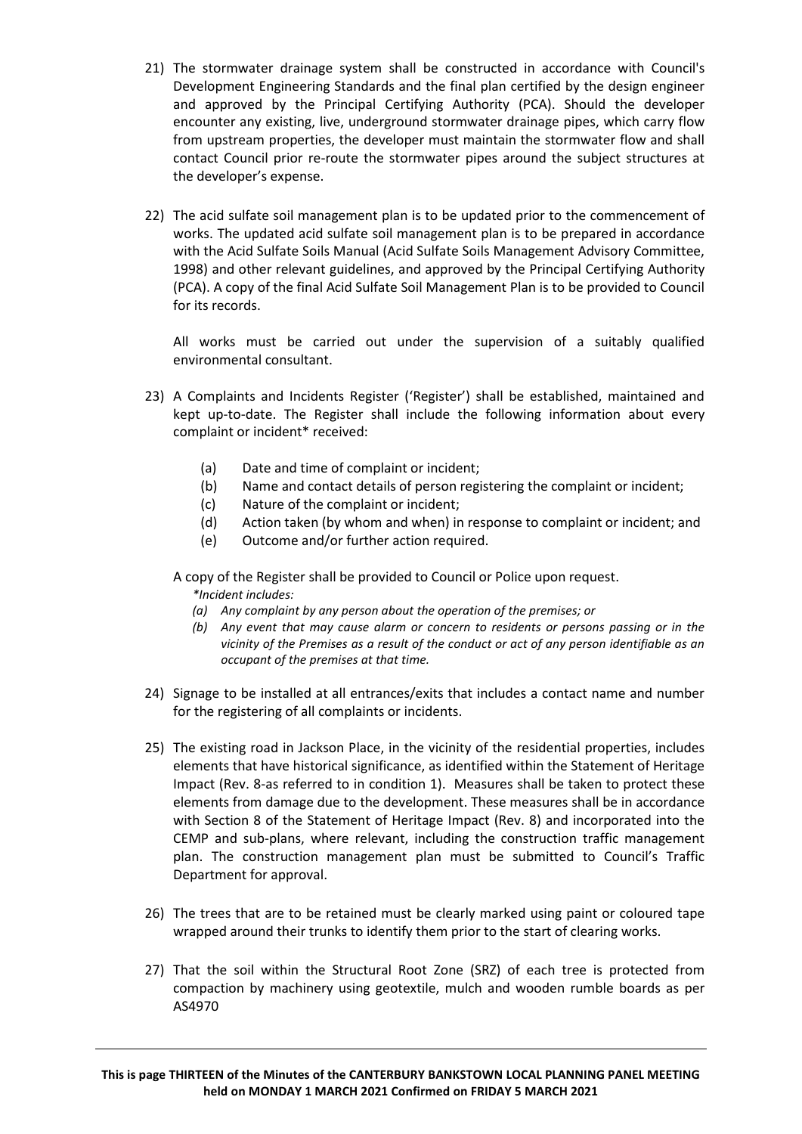- 21) The stormwater drainage system shall be constructed in accordance with Council's Development Engineering Standards and the final plan certified by the design engineer and approved by the Principal Certifying Authority (PCA). Should the developer encounter any existing, live, underground stormwater drainage pipes, which carry flow from upstream properties, the developer must maintain the stormwater flow and shall contact Council prior re-route the stormwater pipes around the subject structures at the developer's expense.
- 22) The acid sulfate soil management plan is to be updated prior to the commencement of works. The updated acid sulfate soil management plan is to be prepared in accordance with the Acid Sulfate Soils Manual (Acid Sulfate Soils Management Advisory Committee, 1998) and other relevant guidelines, and approved by the Principal Certifying Authority (PCA). A copy of the final Acid Sulfate Soil Management Plan is to be provided to Council for its records.

All works must be carried out under the supervision of a suitably qualified environmental consultant.

- 23) A Complaints and Incidents Register ('Register') shall be established, maintained and kept up-to-date. The Register shall include the following information about every complaint or incident\* received:
	- (a) Date and time of complaint or incident;
	- (b) Name and contact details of person registering the complaint or incident;
	- (c) Nature of the complaint or incident;
	- (d) Action taken (by whom and when) in response to complaint or incident; and
	- (e) Outcome and/or further action required.
	- A copy of the Register shall be provided to Council or Police upon request. *\*Incident includes:*
		- *(a) Any complaint by any person about the operation of the premises; or*
		- *(b) Any event that may cause alarm or concern to residents or persons passing or in the vicinity of the Premises as a result of the conduct or act of any person identifiable as an occupant of the premises at that time.*
- 24) Signage to be installed at all entrances/exits that includes a contact name and number for the registering of all complaints or incidents.
- 25) The existing road in Jackson Place, in the vicinity of the residential properties, includes elements that have historical significance, as identified within the Statement of Heritage Impact (Rev. 8-as referred to in condition 1). Measures shall be taken to protect these elements from damage due to the development. These measures shall be in accordance with Section 8 of the Statement of Heritage Impact (Rev. 8) and incorporated into the CEMP and sub-plans, where relevant, including the construction traffic management plan. The construction management plan must be submitted to Council's Traffic Department for approval.
- 26) The trees that are to be retained must be clearly marked using paint or coloured tape wrapped around their trunks to identify them prior to the start of clearing works.
- 27) That the soil within the Structural Root Zone (SRZ) of each tree is protected from compaction by machinery using geotextile, mulch and wooden rumble boards as per AS4970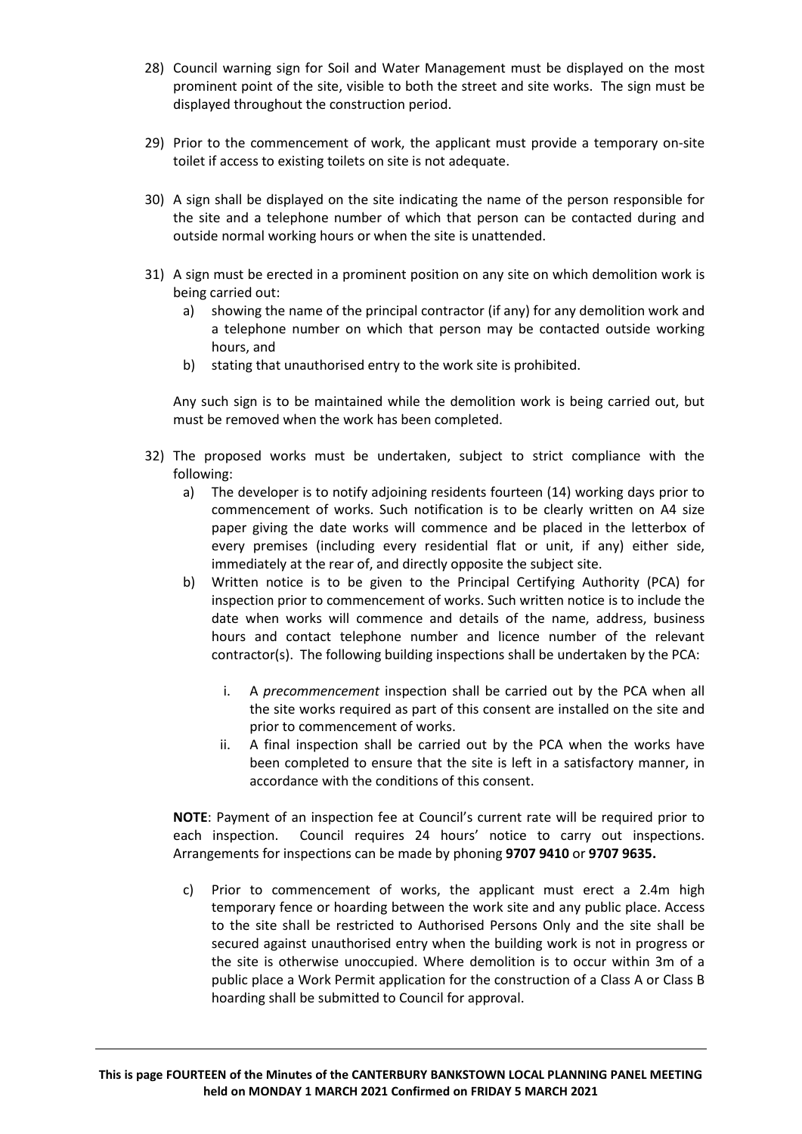- 28) Council warning sign for Soil and Water Management must be displayed on the most prominent point of the site, visible to both the street and site works. The sign must be displayed throughout the construction period.
- 29) Prior to the commencement of work, the applicant must provide a temporary on-site toilet if access to existing toilets on site is not adequate.
- 30) A sign shall be displayed on the site indicating the name of the person responsible for the site and a telephone number of which that person can be contacted during and outside normal working hours or when the site is unattended.
- 31) A sign must be erected in a prominent position on any site on which demolition work is being carried out:
	- a) showing the name of the principal contractor (if any) for any demolition work and a telephone number on which that person may be contacted outside working hours, and
	- b) stating that unauthorised entry to the work site is prohibited.

Any such sign is to be maintained while the demolition work is being carried out, but must be removed when the work has been completed.

- 32) The proposed works must be undertaken, subject to strict compliance with the following:
	- a) The developer is to notify adjoining residents fourteen (14) working days prior to commencement of works. Such notification is to be clearly written on A4 size paper giving the date works will commence and be placed in the letterbox of every premises (including every residential flat or unit, if any) either side, immediately at the rear of, and directly opposite the subject site.
	- b) Written notice is to be given to the Principal Certifying Authority (PCA) for inspection prior to commencement of works. Such written notice is to include the date when works will commence and details of the name, address, business hours and contact telephone number and licence number of the relevant contractor(s). The following building inspections shall be undertaken by the PCA:
		- i. A *precommencement* inspection shall be carried out by the PCA when all the site works required as part of this consent are installed on the site and prior to commencement of works.
		- ii. A final inspection shall be carried out by the PCA when the works have been completed to ensure that the site is left in a satisfactory manner, in accordance with the conditions of this consent.

**NOTE**: Payment of an inspection fee at Council's current rate will be required prior to each inspection. Council requires 24 hours' notice to carry out inspections. Arrangements for inspections can be made by phoning **9707 9410** or **9707 9635.**

c) Prior to commencement of works, the applicant must erect a 2.4m high temporary fence or hoarding between the work site and any public place. Access to the site shall be restricted to Authorised Persons Only and the site shall be secured against unauthorised entry when the building work is not in progress or the site is otherwise unoccupied. Where demolition is to occur within 3m of a public place a Work Permit application for the construction of a Class A or Class B hoarding shall be submitted to Council for approval.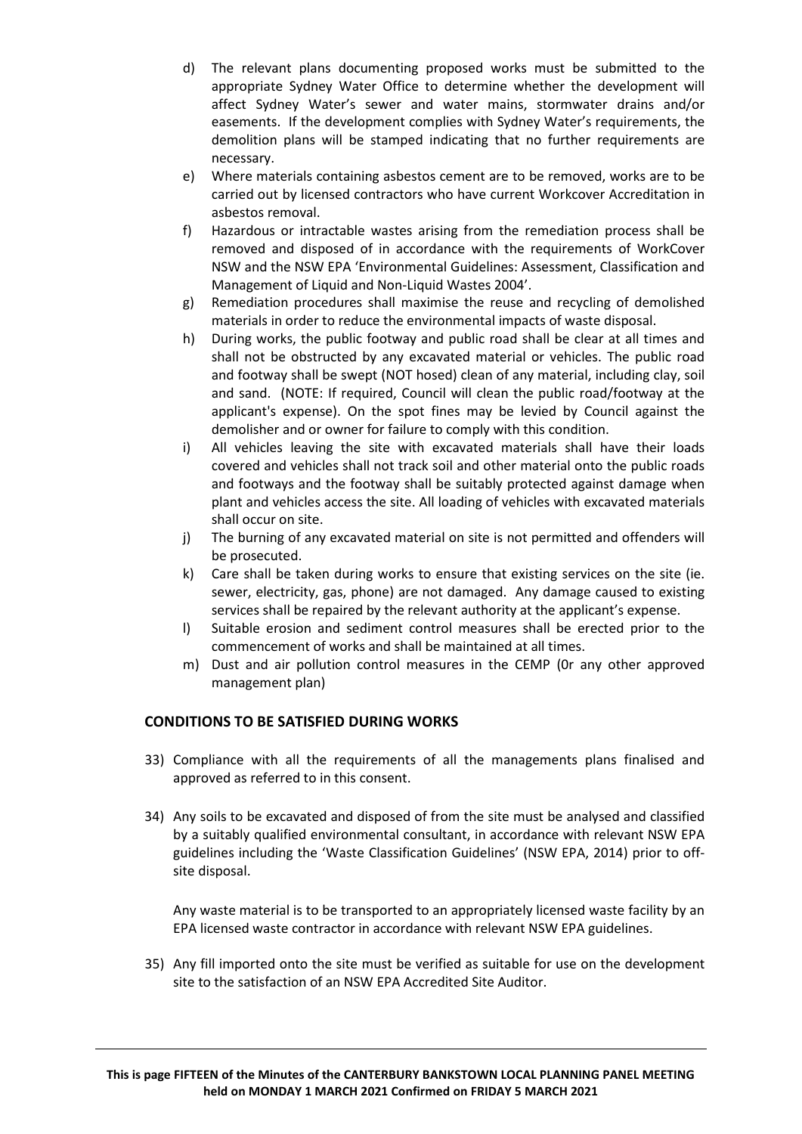- d) The relevant plans documenting proposed works must be submitted to the appropriate Sydney Water Office to determine whether the development will affect Sydney Water's sewer and water mains, stormwater drains and/or easements. If the development complies with Sydney Water's requirements, the demolition plans will be stamped indicating that no further requirements are necessary.
- e) Where materials containing asbestos cement are to be removed, works are to be carried out by licensed contractors who have current Workcover Accreditation in asbestos removal.
- f) Hazardous or intractable wastes arising from the remediation process shall be removed and disposed of in accordance with the requirements of WorkCover NSW and the NSW EPA 'Environmental Guidelines: Assessment, Classification and Management of Liquid and Non-Liquid Wastes 2004'.
- g) Remediation procedures shall maximise the reuse and recycling of demolished materials in order to reduce the environmental impacts of waste disposal.
- h) During works, the public footway and public road shall be clear at all times and shall not be obstructed by any excavated material or vehicles. The public road and footway shall be swept (NOT hosed) clean of any material, including clay, soil and sand. (NOTE: If required, Council will clean the public road/footway at the applicant's expense). On the spot fines may be levied by Council against the demolisher and or owner for failure to comply with this condition.
- i) All vehicles leaving the site with excavated materials shall have their loads covered and vehicles shall not track soil and other material onto the public roads and footways and the footway shall be suitably protected against damage when plant and vehicles access the site. All loading of vehicles with excavated materials shall occur on site.
- j) The burning of any excavated material on site is not permitted and offenders will be prosecuted.
- k) Care shall be taken during works to ensure that existing services on the site (ie. sewer, electricity, gas, phone) are not damaged. Any damage caused to existing services shall be repaired by the relevant authority at the applicant's expense.
- l) Suitable erosion and sediment control measures shall be erected prior to the commencement of works and shall be maintained at all times.
- m) Dust and air pollution control measures in the CEMP (0r any other approved management plan)

## **CONDITIONS TO BE SATISFIED DURING WORKS**

- 33) Compliance with all the requirements of all the managements plans finalised and approved as referred to in this consent.
- 34) Any soils to be excavated and disposed of from the site must be analysed and classified by a suitably qualified environmental consultant, in accordance with relevant NSW EPA guidelines including the 'Waste Classification Guidelines' (NSW EPA, 2014) prior to offsite disposal.

Any waste material is to be transported to an appropriately licensed waste facility by an EPA licensed waste contractor in accordance with relevant NSW EPA guidelines.

35) Any fill imported onto the site must be verified as suitable for use on the development site to the satisfaction of an NSW EPA Accredited Site Auditor.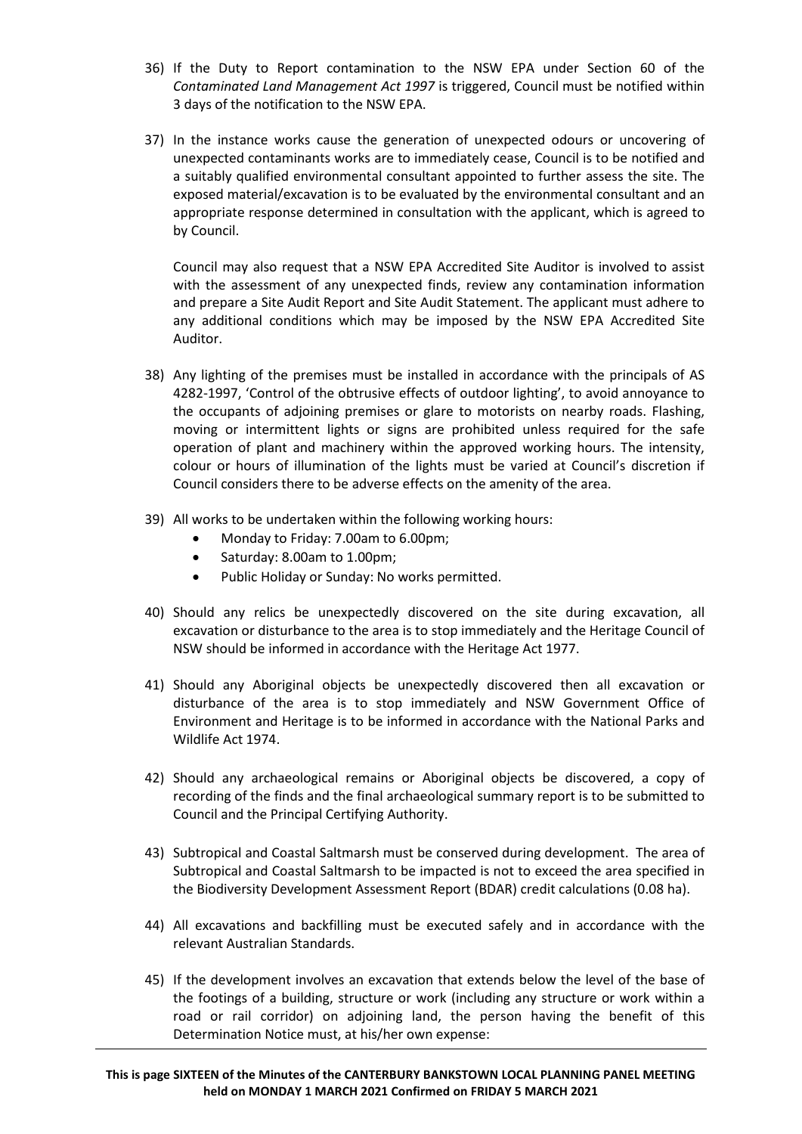- 36) If the Duty to Report contamination to the NSW EPA under Section 60 of the *Contaminated Land Management Act 1997* is triggered, Council must be notified within 3 days of the notification to the NSW EPA.
- 37) In the instance works cause the generation of unexpected odours or uncovering of unexpected contaminants works are to immediately cease, Council is to be notified and a suitably qualified environmental consultant appointed to further assess the site. The exposed material/excavation is to be evaluated by the environmental consultant and an appropriate response determined in consultation with the applicant, which is agreed to by Council.

Council may also request that a NSW EPA Accredited Site Auditor is involved to assist with the assessment of any unexpected finds, review any contamination information and prepare a Site Audit Report and Site Audit Statement. The applicant must adhere to any additional conditions which may be imposed by the NSW EPA Accredited Site Auditor.

- 38) Any lighting of the premises must be installed in accordance with the principals of AS 4282-1997, 'Control of the obtrusive effects of outdoor lighting', to avoid annoyance to the occupants of adjoining premises or glare to motorists on nearby roads. Flashing, moving or intermittent lights or signs are prohibited unless required for the safe operation of plant and machinery within the approved working hours. The intensity, colour or hours of illumination of the lights must be varied at Council's discretion if Council considers there to be adverse effects on the amenity of the area.
- 39) All works to be undertaken within the following working hours:
	- Monday to Friday: 7.00am to 6.00pm;
	- Saturday: 8.00am to 1.00pm;
	- Public Holiday or Sunday: No works permitted.
- 40) Should any relics be unexpectedly discovered on the site during excavation, all excavation or disturbance to the area is to stop immediately and the Heritage Council of NSW should be informed in accordance with the Heritage Act 1977.
- 41) Should any Aboriginal objects be unexpectedly discovered then all excavation or disturbance of the area is to stop immediately and NSW Government Office of Environment and Heritage is to be informed in accordance with the National Parks and Wildlife Act 1974.
- 42) Should any archaeological remains or Aboriginal objects be discovered, a copy of recording of the finds and the final archaeological summary report is to be submitted to Council and the Principal Certifying Authority.
- 43) Subtropical and Coastal Saltmarsh must be conserved during development. The area of Subtropical and Coastal Saltmarsh to be impacted is not to exceed the area specified in the Biodiversity Development Assessment Report (BDAR) credit calculations (0.08 ha).
- 44) All excavations and backfilling must be executed safely and in accordance with the relevant Australian Standards.
- 45) If the development involves an excavation that extends below the level of the base of the footings of a building, structure or work (including any structure or work within a road or rail corridor) on adjoining land, the person having the benefit of this Determination Notice must, at his/her own expense: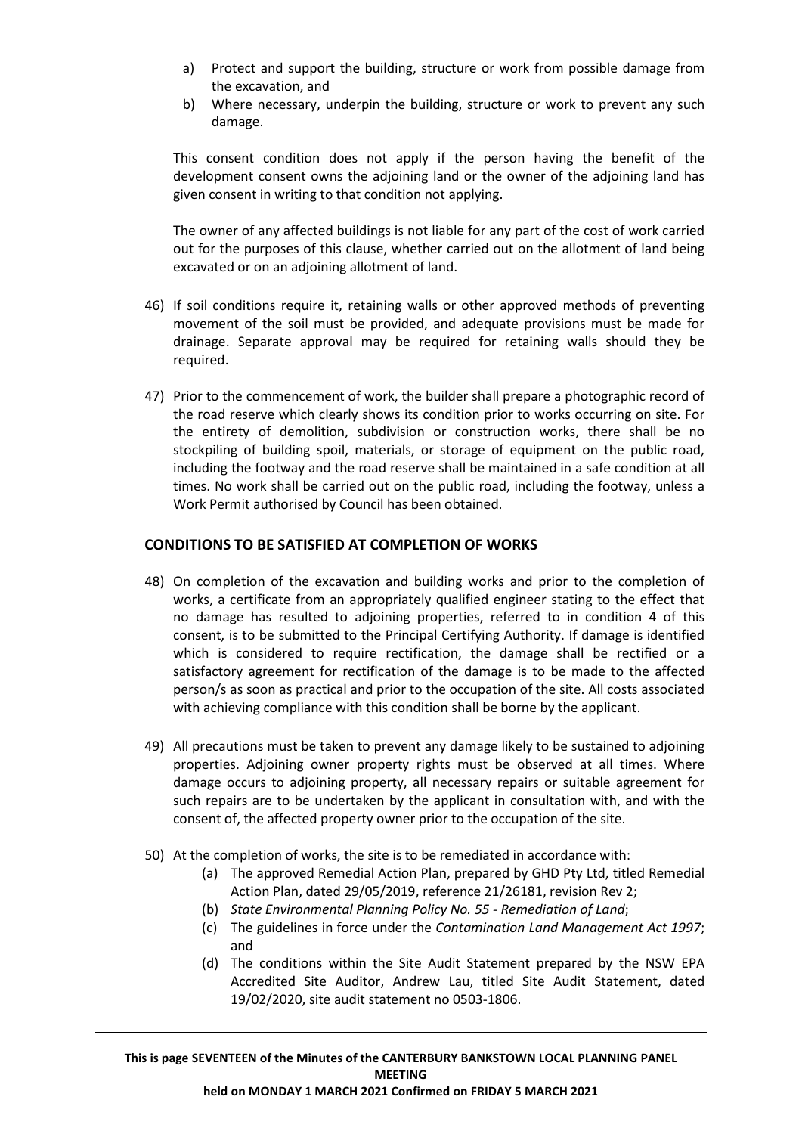- a) Protect and support the building, structure or work from possible damage from the excavation, and
- b) Where necessary, underpin the building, structure or work to prevent any such damage.

This consent condition does not apply if the person having the benefit of the development consent owns the adjoining land or the owner of the adjoining land has given consent in writing to that condition not applying.

The owner of any affected buildings is not liable for any part of the cost of work carried out for the purposes of this clause, whether carried out on the allotment of land being excavated or on an adjoining allotment of land.

- 46) If soil conditions require it, retaining walls or other approved methods of preventing movement of the soil must be provided, and adequate provisions must be made for drainage. Separate approval may be required for retaining walls should they be required.
- 47) Prior to the commencement of work, the builder shall prepare a photographic record of the road reserve which clearly shows its condition prior to works occurring on site. For the entirety of demolition, subdivision or construction works, there shall be no stockpiling of building spoil, materials, or storage of equipment on the public road, including the footway and the road reserve shall be maintained in a safe condition at all times. No work shall be carried out on the public road, including the footway, unless a Work Permit authorised by Council has been obtained.

## **CONDITIONS TO BE SATISFIED AT COMPLETION OF WORKS**

- 48) On completion of the excavation and building works and prior to the completion of works, a certificate from an appropriately qualified engineer stating to the effect that no damage has resulted to adjoining properties, referred to in condition 4 of this consent, is to be submitted to the Principal Certifying Authority. If damage is identified which is considered to require rectification, the damage shall be rectified or a satisfactory agreement for rectification of the damage is to be made to the affected person/s as soon as practical and prior to the occupation of the site. All costs associated with achieving compliance with this condition shall be borne by the applicant.
- 49) All precautions must be taken to prevent any damage likely to be sustained to adjoining properties. Adjoining owner property rights must be observed at all times. Where damage occurs to adjoining property, all necessary repairs or suitable agreement for such repairs are to be undertaken by the applicant in consultation with, and with the consent of, the affected property owner prior to the occupation of the site.
- 50) At the completion of works, the site is to be remediated in accordance with:
	- (a) The approved Remedial Action Plan, prepared by GHD Pty Ltd, titled Remedial Action Plan, dated 29/05/2019, reference 21/26181, revision Rev 2;
	- (b) *State Environmental Planning Policy No. 55 - Remediation of Land*;
	- (c) The guidelines in force under the *Contamination Land Management Act 1997*; and
	- (d) The conditions within the Site Audit Statement prepared by the NSW EPA Accredited Site Auditor, Andrew Lau, titled Site Audit Statement, dated 19/02/2020, site audit statement no 0503-1806.

**This is page SEVENTEEN of the Minutes of the CANTERBURY BANKSTOWN LOCAL PLANNING PANEL MEETING held on MONDAY 1 MARCH 2021 Confirmed on FRIDAY 5 MARCH 2021**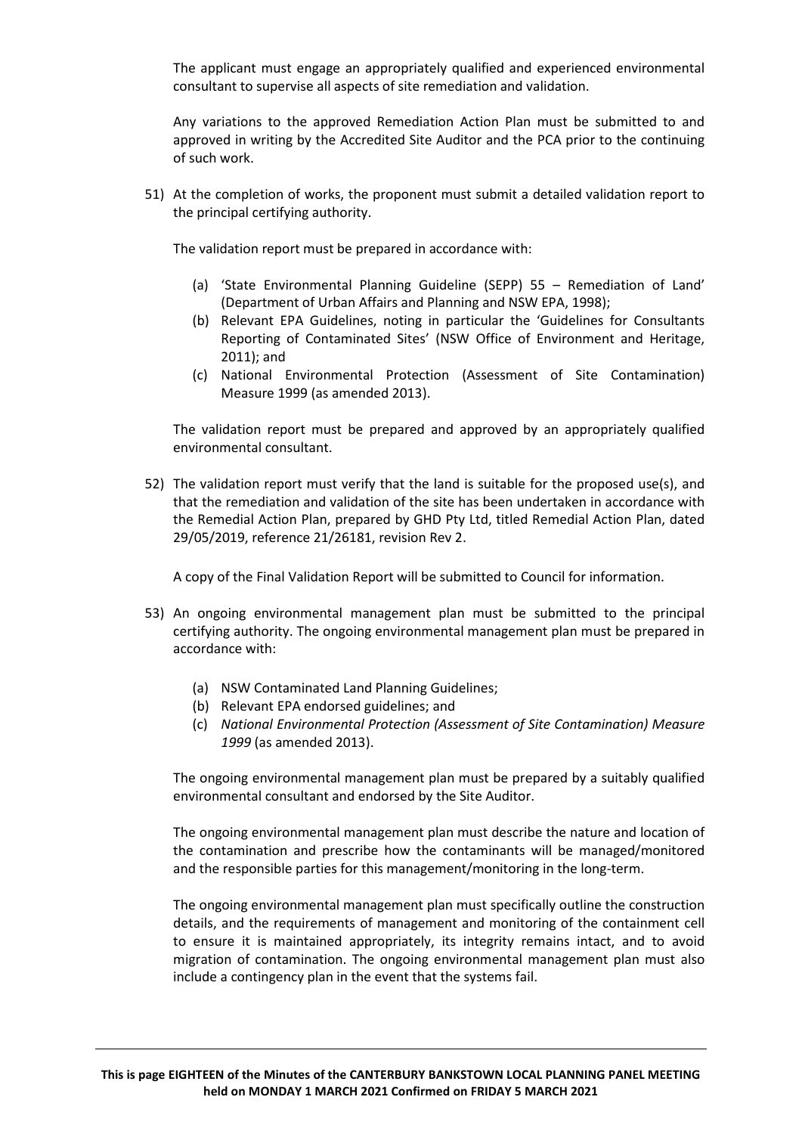The applicant must engage an appropriately qualified and experienced environmental consultant to supervise all aspects of site remediation and validation.

Any variations to the approved Remediation Action Plan must be submitted to and approved in writing by the Accredited Site Auditor and the PCA prior to the continuing of such work.

51) At the completion of works, the proponent must submit a detailed validation report to the principal certifying authority.

The validation report must be prepared in accordance with:

- (a) 'State Environmental Planning Guideline (SEPP) 55 Remediation of Land' (Department of Urban Affairs and Planning and NSW EPA, 1998);
- (b) Relevant EPA Guidelines, noting in particular the 'Guidelines for Consultants Reporting of Contaminated Sites' (NSW Office of Environment and Heritage, 2011); and
- (c) National Environmental Protection (Assessment of Site Contamination) Measure 1999 (as amended 2013).

The validation report must be prepared and approved by an appropriately qualified environmental consultant.

52) The validation report must verify that the land is suitable for the proposed use(s), and that the remediation and validation of the site has been undertaken in accordance with the Remedial Action Plan, prepared by GHD Pty Ltd, titled Remedial Action Plan, dated 29/05/2019, reference 21/26181, revision Rev 2.

A copy of the Final Validation Report will be submitted to Council for information.

- 53) An ongoing environmental management plan must be submitted to the principal certifying authority. The ongoing environmental management plan must be prepared in accordance with:
	- (a) NSW Contaminated Land Planning Guidelines;
	- (b) Relevant EPA endorsed guidelines; and
	- (c) *National Environmental Protection (Assessment of Site Contamination) Measure 1999* (as amended 2013).

The ongoing environmental management plan must be prepared by a suitably qualified environmental consultant and endorsed by the Site Auditor.

The ongoing environmental management plan must describe the nature and location of the contamination and prescribe how the contaminants will be managed/monitored and the responsible parties for this management/monitoring in the long-term.

The ongoing environmental management plan must specifically outline the construction details, and the requirements of management and monitoring of the containment cell to ensure it is maintained appropriately, its integrity remains intact, and to avoid migration of contamination. The ongoing environmental management plan must also include a contingency plan in the event that the systems fail.